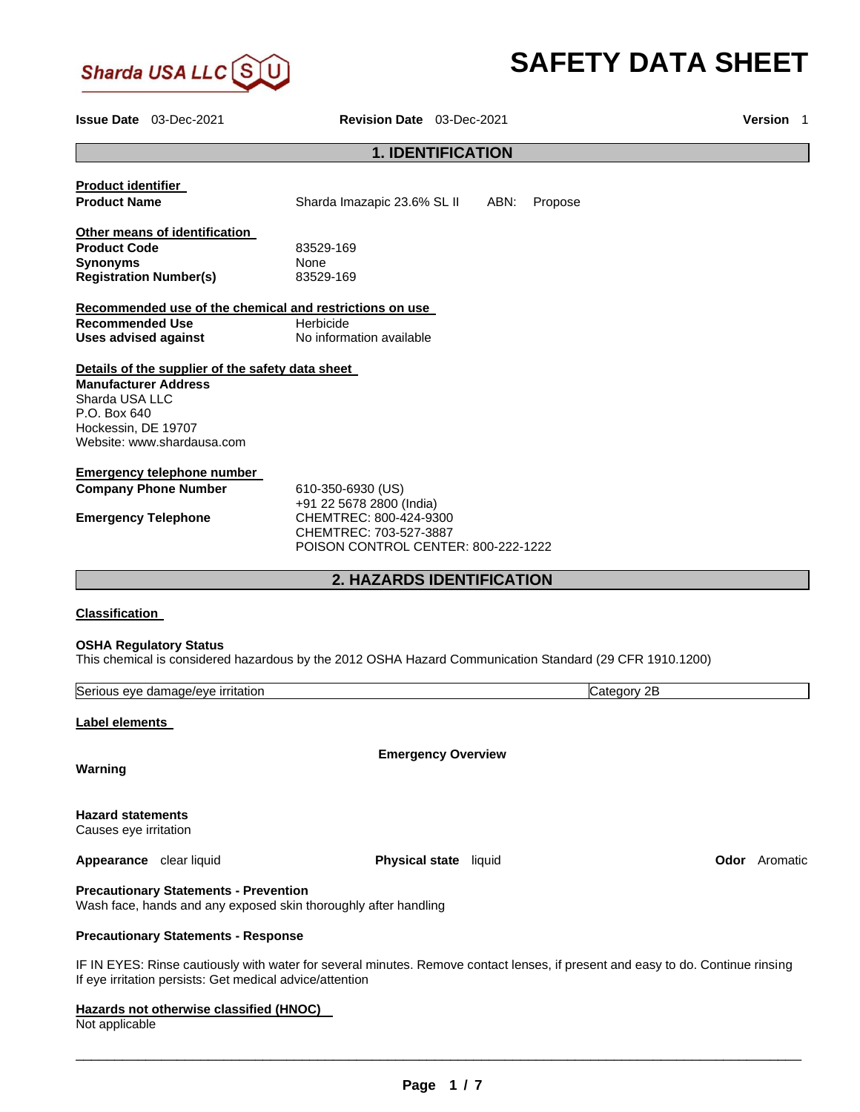

# **SAFETY DATA SHEET**

**Issue Date** 03-Dec-2021 **Revision Date** 03-Dec-2021 **Version** 1

# **1. IDENTIFICATION**

| <b>Product identifier</b>     |                                                                                                                                 |                                     |                                  |      |         |             |                      |
|-------------------------------|---------------------------------------------------------------------------------------------------------------------------------|-------------------------------------|----------------------------------|------|---------|-------------|----------------------|
| <b>Product Name</b>           |                                                                                                                                 | Sharda Imazapic 23.6% SL II         |                                  | ABN: | Propose |             |                      |
|                               | Other means of identification                                                                                                   |                                     |                                  |      |         |             |                      |
| <b>Product Code</b>           |                                                                                                                                 | 83529-169                           |                                  |      |         |             |                      |
| <b>Synonyms</b>               |                                                                                                                                 | None                                |                                  |      |         |             |                      |
| <b>Registration Number(s)</b> |                                                                                                                                 | 83529-169                           |                                  |      |         |             |                      |
|                               | Recommended use of the chemical and restrictions on use                                                                         |                                     |                                  |      |         |             |                      |
| <b>Recommended Use</b>        |                                                                                                                                 | Herbicide                           |                                  |      |         |             |                      |
| <b>Uses advised against</b>   |                                                                                                                                 | No information available            |                                  |      |         |             |                      |
|                               | Details of the supplier of the safety data sheet                                                                                |                                     |                                  |      |         |             |                      |
| <b>Manufacturer Address</b>   |                                                                                                                                 |                                     |                                  |      |         |             |                      |
| Sharda USA LLC                |                                                                                                                                 |                                     |                                  |      |         |             |                      |
| P.O. Box 640                  |                                                                                                                                 |                                     |                                  |      |         |             |                      |
| Hockessin, DE 19707           |                                                                                                                                 |                                     |                                  |      |         |             |                      |
|                               | Website: www.shardausa.com                                                                                                      |                                     |                                  |      |         |             |                      |
|                               | <b>Emergency telephone number</b>                                                                                               |                                     |                                  |      |         |             |                      |
| <b>Company Phone Number</b>   |                                                                                                                                 | 610-350-6930 (US)                   |                                  |      |         |             |                      |
|                               |                                                                                                                                 | +91 22 5678 2800 (India)            |                                  |      |         |             |                      |
| <b>Emergency Telephone</b>    |                                                                                                                                 | CHEMTREC: 800-424-9300              |                                  |      |         |             |                      |
|                               |                                                                                                                                 | CHEMTREC: 703-527-3887              |                                  |      |         |             |                      |
|                               |                                                                                                                                 | POISON CONTROL CENTER: 800-222-1222 |                                  |      |         |             |                      |
|                               |                                                                                                                                 |                                     | <b>2. HAZARDS IDENTIFICATION</b> |      |         |             |                      |
|                               |                                                                                                                                 |                                     |                                  |      |         |             |                      |
| <b>Classification</b>         |                                                                                                                                 |                                     |                                  |      |         |             |                      |
| <b>OSHA Regulatory Status</b> |                                                                                                                                 |                                     |                                  |      |         |             |                      |
|                               | This chemical is considered hazardous by the 2012 OSHA Hazard Communication Standard (29 CFR 1910.1200)                         |                                     |                                  |      |         |             |                      |
|                               |                                                                                                                                 |                                     |                                  |      |         |             |                      |
|                               | Serious eye damage/eye irritation                                                                                               |                                     |                                  |      |         | Category 2B |                      |
| Label elements                |                                                                                                                                 |                                     |                                  |      |         |             |                      |
|                               |                                                                                                                                 |                                     |                                  |      |         |             |                      |
| Warning                       |                                                                                                                                 |                                     | <b>Emergency Overview</b>        |      |         |             |                      |
|                               |                                                                                                                                 |                                     |                                  |      |         |             |                      |
| <b>Hazard statements</b>      |                                                                                                                                 |                                     |                                  |      |         |             |                      |
| Causes eye irritation         |                                                                                                                                 |                                     |                                  |      |         |             |                      |
|                               |                                                                                                                                 |                                     |                                  |      |         |             |                      |
| Appearance clear liquid       |                                                                                                                                 |                                     | Physical state liquid            |      |         |             | <b>Odor</b> Aromatic |
|                               | <b>Precautionary Statements - Prevention</b>                                                                                    |                                     |                                  |      |         |             |                      |
|                               | Wash face, hands and any exposed skin thoroughly after handling                                                                 |                                     |                                  |      |         |             |                      |
|                               | <b>Precautionary Statements - Response</b>                                                                                      |                                     |                                  |      |         |             |                      |
|                               | IF IN EYES: Rinse cautiously with water for several minutes. Remove contact lenses, if present and easy to do. Continue rinsing |                                     |                                  |      |         |             |                      |
|                               | If eye irritation persists: Get medical advice/attention                                                                        |                                     |                                  |      |         |             |                      |

**Hazards not otherwise classified (HNOC)** 

Not applicable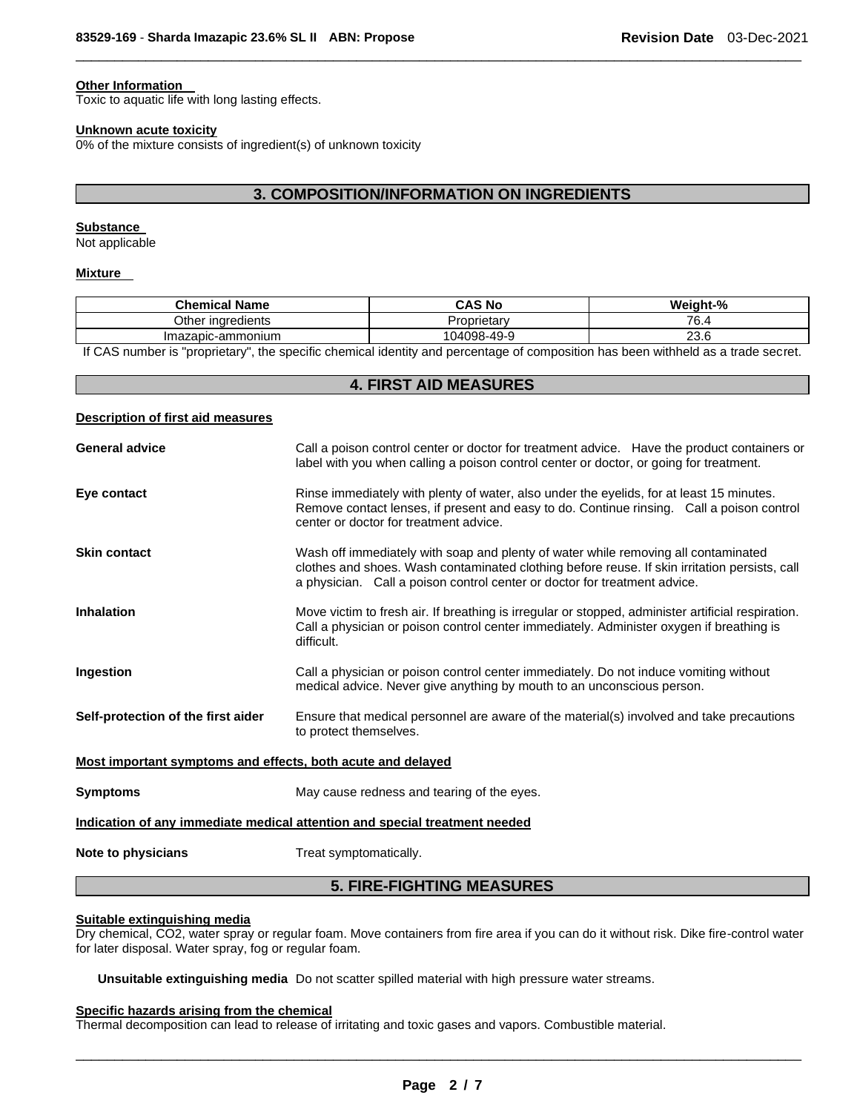# **Other Information**

Toxic to aquatic life with long lasting effects.

#### **Unknown acute toxicity**

0% of the mixture consists of ingredient(s) of unknown toxicity

# **3. COMPOSITION/INFORMATION ON INGREDIENTS**

\_\_\_\_\_\_\_\_\_\_\_\_\_\_\_\_\_\_\_\_\_\_\_\_\_\_\_\_\_\_\_\_\_\_\_\_\_\_\_\_\_\_\_\_\_\_\_\_\_\_\_\_\_\_\_\_\_\_\_\_\_\_\_\_\_\_\_\_\_\_\_\_\_\_\_\_\_\_\_\_\_\_\_\_\_\_\_\_\_\_\_\_\_

## **Substance**

Not applicable

#### **Mixture**

| <b>Chemical Name</b>    | <b>CAS No</b>      | Weight-%  |
|-------------------------|--------------------|-----------|
| Other ingredients       | coprietary         | 76.4      |
| Imazapic-ammonium       | 104098-49-9        | ົ<br>23.6 |
| .<br>.<br>$\sim$ $\sim$ | .<br>$\sim$ $\sim$ | .         |

If CAS number is "proprietary", the specific chemical identity and percentage of composition has been withheld as a trade secret.

# **4. FIRST AID MEASURES**

| Description of first aid measures |  |  |
|-----------------------------------|--|--|
|                                   |  |  |

| <b>General advice</b>                                       | Call a poison control center or doctor for treatment advice. Have the product containers or<br>label with you when calling a poison control center or doctor, or going for treatment.                                                                            |
|-------------------------------------------------------------|------------------------------------------------------------------------------------------------------------------------------------------------------------------------------------------------------------------------------------------------------------------|
| Eye contact                                                 | Rinse immediately with plenty of water, also under the eyelids, for at least 15 minutes.<br>Remove contact lenses, if present and easy to do. Continue rinsing. Call a poison control<br>center or doctor for treatment advice.                                  |
| <b>Skin contact</b>                                         | Wash off immediately with soap and plenty of water while removing all contaminated<br>clothes and shoes. Wash contaminated clothing before reuse. If skin irritation persists, call<br>a physician. Call a poison control center or doctor for treatment advice. |
| <b>Inhalation</b>                                           | Move victim to fresh air. If breathing is irregular or stopped, administer artificial respiration.<br>Call a physician or poison control center immediately. Administer oxygen if breathing is<br>difficult.                                                     |
| Ingestion                                                   | Call a physician or poison control center immediately. Do not induce vomiting without<br>medical advice. Never give anything by mouth to an unconscious person.                                                                                                  |
| Self-protection of the first aider                          | Ensure that medical personnel are aware of the material(s) involved and take precautions<br>to protect themselves.                                                                                                                                               |
| Most important symptoms and effects, both acute and delayed |                                                                                                                                                                                                                                                                  |
| <b>Symptoms</b>                                             | May cause redness and tearing of the eyes.                                                                                                                                                                                                                       |
|                                                             | Indication of any immediate medical attention and special treatment needed                                                                                                                                                                                       |
| Note to physicians                                          | Treat symptomatically.                                                                                                                                                                                                                                           |

# **5. FIRE-FIGHTING MEASURES**

# **Suitable extinguishing media**

Dry chemical, CO2, water spray or regular foam. Move containers from fire area if you can do it without risk. Dike fire-control water for later disposal. Water spray, fog or regular foam.

**Unsuitable extinguishing media** Do not scatter spilled material with high pressure water streams.

#### **Specific hazards arising from the chemical**

Thermal decomposition can lead to release of irritating and toxic gases and vapors. Combustible material.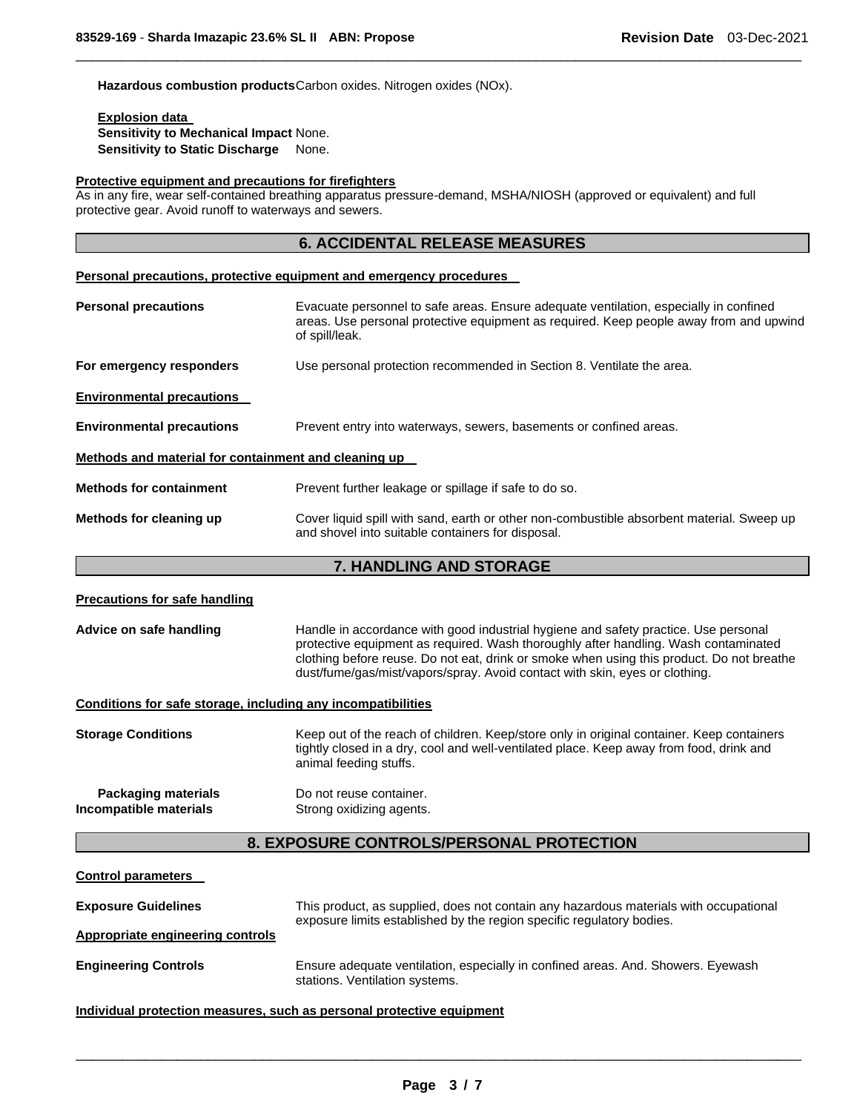Hazardous combustion products Carbon oxides. Nitrogen oxides (NOx).

#### **Explosion data**

**Sensitivity to Mechanical Impact** None. **Sensitivity to Static Discharge** None.

#### **Protective equipment and precautions for firefighters**

As in any fire, wear self-contained breathing apparatus pressure-demand, MSHA/NIOSH (approved or equivalent) and full protective gear. Avoid runoff to waterways and sewers.

# **6. ACCIDENTAL RELEASE MEASURES**

\_\_\_\_\_\_\_\_\_\_\_\_\_\_\_\_\_\_\_\_\_\_\_\_\_\_\_\_\_\_\_\_\_\_\_\_\_\_\_\_\_\_\_\_\_\_\_\_\_\_\_\_\_\_\_\_\_\_\_\_\_\_\_\_\_\_\_\_\_\_\_\_\_\_\_\_\_\_\_\_\_\_\_\_\_\_\_\_\_\_\_\_\_

#### **Personal precautions, protective equipment and emergency procedures**

| <b>Personal precautions</b>                                                                            | Evacuate personnel to safe areas. Ensure adequate ventilation, especially in confined<br>areas. Use personal protective equipment as required. Keep people away from and upwind<br>of spill/leak. |
|--------------------------------------------------------------------------------------------------------|---------------------------------------------------------------------------------------------------------------------------------------------------------------------------------------------------|
| For emergency responders                                                                               | Use personal protection recommended in Section 8. Ventilate the area.                                                                                                                             |
| <b>Environmental precautions</b>                                                                       |                                                                                                                                                                                                   |
| <b>Environmental precautions</b><br>Prevent entry into waterways, sewers, basements or confined areas. |                                                                                                                                                                                                   |
| Methods and material for containment and cleaning up                                                   |                                                                                                                                                                                                   |
| <b>Methods for containment</b>                                                                         | Prevent further leakage or spillage if safe to do so.                                                                                                                                             |
| Methods for cleaning up                                                                                | Cover liquid spill with sand, earth or other non-combustible absorbent material. Sweep up<br>and shovel into suitable containers for disposal.                                                    |

# **7. HANDLING AND STORAGE**

| <b>Precautions for safe handling</b>                                                                                                                                                         |                                                                                                                                                                                                                                                                                                                                                        |  |  |  |
|----------------------------------------------------------------------------------------------------------------------------------------------------------------------------------------------|--------------------------------------------------------------------------------------------------------------------------------------------------------------------------------------------------------------------------------------------------------------------------------------------------------------------------------------------------------|--|--|--|
| Advice on safe handling                                                                                                                                                                      | Handle in accordance with good industrial hygiene and safety practice. Use personal<br>protective equipment as required. Wash thoroughly after handling. Wash contaminated<br>clothing before reuse. Do not eat, drink or smoke when using this product. Do not breathe<br>dust/fume/gas/mist/vapors/spray. Avoid contact with skin, eyes or clothing. |  |  |  |
| Conditions for safe storage, including any incompatibilities                                                                                                                                 |                                                                                                                                                                                                                                                                                                                                                        |  |  |  |
| <b>Storage Conditions</b>                                                                                                                                                                    | Keep out of the reach of children. Keep/store only in original container. Keep containers<br>tightly closed in a dry, cool and well-ventilated place. Keep away from food, drink and<br>animal feeding stuffs.                                                                                                                                         |  |  |  |
| Packaging materials<br>Incompatible materials                                                                                                                                                | Do not reuse container.<br>Strong oxidizing agents.                                                                                                                                                                                                                                                                                                    |  |  |  |
|                                                                                                                                                                                              | 8. EXPOSURE CONTROLS/PERSONAL PROTECTION                                                                                                                                                                                                                                                                                                               |  |  |  |
| <b>Control parameters</b>                                                                                                                                                                    |                                                                                                                                                                                                                                                                                                                                                        |  |  |  |
| <b>Exposure Guidelines</b><br>This product, as supplied, does not contain any hazardous materials with occupational<br>exposure limits established by the region specific regulatory bodies. |                                                                                                                                                                                                                                                                                                                                                        |  |  |  |
| <b>Appropriate engineering controls</b>                                                                                                                                                      |                                                                                                                                                                                                                                                                                                                                                        |  |  |  |
| <b>Engineering Controls</b>                                                                                                                                                                  | Ensure adequate ventilation, especially in confined areas. And. Showers. Eyewash<br>stations. Ventilation systems.                                                                                                                                                                                                                                     |  |  |  |

#### **Individual protection measures, such as personal protective equipment**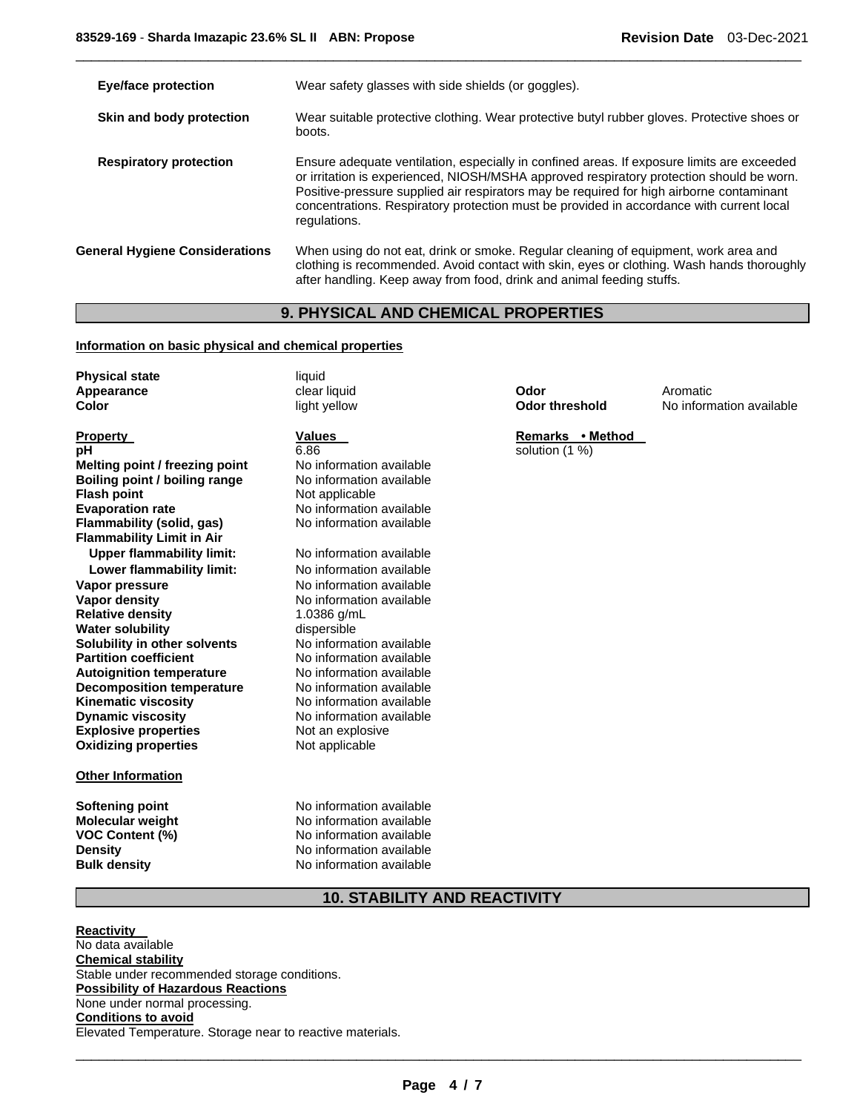| <b>Eye/face protection</b>            | Wear safety glasses with side shields (or goggles).                                                                                                                                                                                                                                                                                                                                            |
|---------------------------------------|------------------------------------------------------------------------------------------------------------------------------------------------------------------------------------------------------------------------------------------------------------------------------------------------------------------------------------------------------------------------------------------------|
| Skin and body protection              | Wear suitable protective clothing. Wear protective butyl rubber gloves. Protective shoes or<br>boots.                                                                                                                                                                                                                                                                                          |
| <b>Respiratory protection</b>         | Ensure adequate ventilation, especially in confined areas. If exposure limits are exceeded<br>or irritation is experienced, NIOSH/MSHA approved respiratory protection should be worn.<br>Positive-pressure supplied air respirators may be required for high airborne contaminant<br>concentrations. Respiratory protection must be provided in accordance with current local<br>regulations. |
| <b>General Hygiene Considerations</b> | When using do not eat, drink or smoke. Regular cleaning of equipment, work area and<br>clothing is recommended. Avoid contact with skin, eyes or clothing. Wash hands thoroughly<br>after handling. Keep away from food, drink and animal feeding stuffs.                                                                                                                                      |

\_\_\_\_\_\_\_\_\_\_\_\_\_\_\_\_\_\_\_\_\_\_\_\_\_\_\_\_\_\_\_\_\_\_\_\_\_\_\_\_\_\_\_\_\_\_\_\_\_\_\_\_\_\_\_\_\_\_\_\_\_\_\_\_\_\_\_\_\_\_\_\_\_\_\_\_\_\_\_\_\_\_\_\_\_\_\_\_\_\_\_\_\_

# **9. PHYSICAL AND CHEMICAL PROPERTIES**

# **Information on basic physical and chemical properties**

| <b>Physical state</b><br>Appearance<br>Color | liquid<br>clear liquid<br>light yellow | Odor<br><b>Odor threshold</b> | Aromatic<br>No information available |
|----------------------------------------------|----------------------------------------|-------------------------------|--------------------------------------|
| <b>Property</b>                              | <b>Values</b>                          | Remarks • Method              |                                      |
| pН                                           | 6.86                                   | solution (1 %)                |                                      |
| Melting point / freezing point               | No information available               |                               |                                      |
| Boiling point / boiling range                | No information available               |                               |                                      |
| <b>Flash point</b>                           | Not applicable                         |                               |                                      |
| <b>Evaporation rate</b>                      | No information available               |                               |                                      |
| Flammability (solid, gas)                    | No information available               |                               |                                      |
| <b>Flammability Limit in Air</b>             |                                        |                               |                                      |
| <b>Upper flammability limit:</b>             | No information available               |                               |                                      |
| Lower flammability limit:                    | No information available               |                               |                                      |
| Vapor pressure                               | No information available               |                               |                                      |
| Vapor density                                | No information available               |                               |                                      |
| <b>Relative density</b>                      | 1.0386 g/mL                            |                               |                                      |
| <b>Water solubility</b>                      | dispersible                            |                               |                                      |
| Solubility in other solvents                 | No information available               |                               |                                      |
| <b>Partition coefficient</b>                 | No information available               |                               |                                      |
| <b>Autoignition temperature</b>              | No information available               |                               |                                      |
| <b>Decomposition temperature</b>             | No information available               |                               |                                      |
| <b>Kinematic viscosity</b>                   | No information available               |                               |                                      |
| <b>Dynamic viscosity</b>                     | No information available               |                               |                                      |
| <b>Explosive properties</b>                  | Not an explosive                       |                               |                                      |
| <b>Oxidizing properties</b>                  | Not applicable                         |                               |                                      |
| <b>Other Information</b>                     |                                        |                               |                                      |
| <b>Softening point</b>                       | No information available               |                               |                                      |
| <b>Molecular weight</b>                      | No information available               |                               |                                      |
| <b>VOC Content (%)</b>                       | No information available               |                               |                                      |
| <b>Density</b>                               | No information available               |                               |                                      |

# **10. STABILITY AND REACTIVITY**

**No information available** 

**Reactivity**  No data available **Chemical stability** Stable under recommended storage conditions. **Possibility of Hazardous Reactions** None under normal processing. **Conditions to avoid** Elevated Temperature. Storage near to reactive materials.

**Density Density No information available**<br> **Bulk density No information available**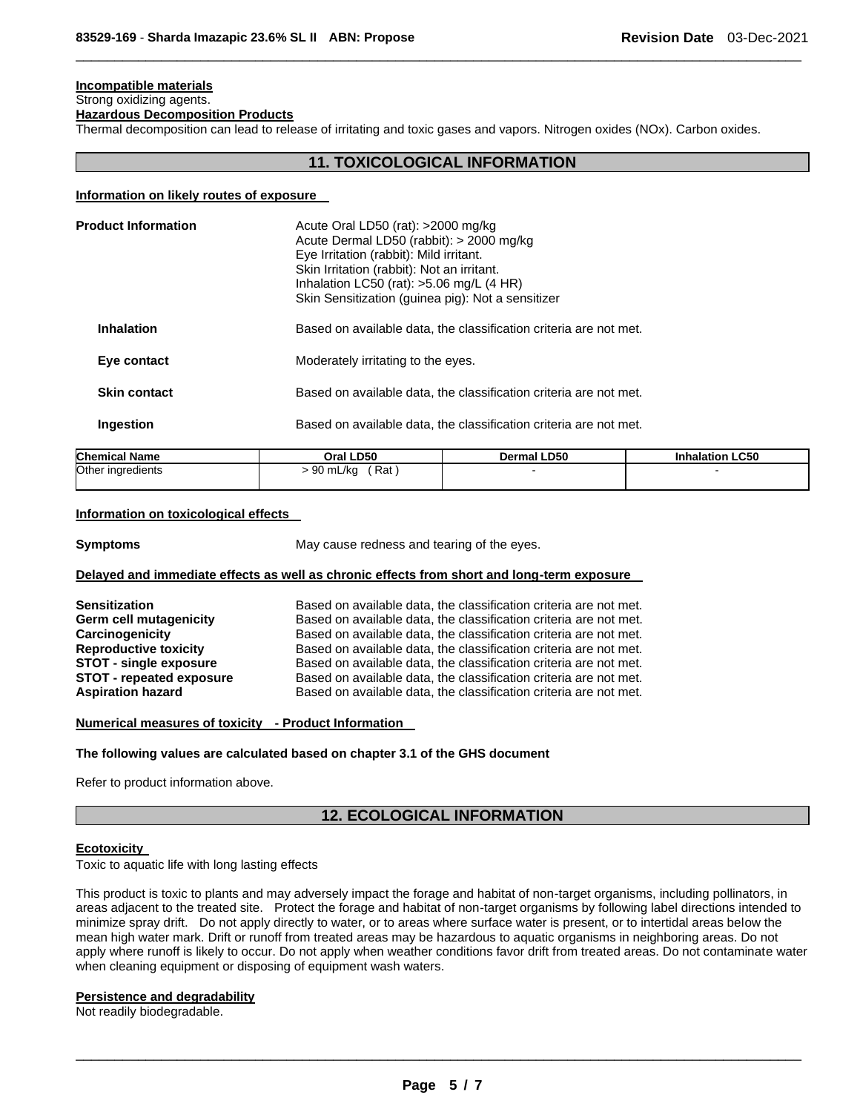# **Incompatible materials**

#### Strong oxidizing agents. **Hazardous Decomposition Products**

Thermal decomposition can lead to release of irritating and toxic gases and vapors. Nitrogen oxides (NOx). Carbon oxides.

# **11. TOXICOLOGICAL INFORMATION**

\_\_\_\_\_\_\_\_\_\_\_\_\_\_\_\_\_\_\_\_\_\_\_\_\_\_\_\_\_\_\_\_\_\_\_\_\_\_\_\_\_\_\_\_\_\_\_\_\_\_\_\_\_\_\_\_\_\_\_\_\_\_\_\_\_\_\_\_\_\_\_\_\_\_\_\_\_\_\_\_\_\_\_\_\_\_\_\_\_\_\_\_\_

#### **Information on likely routes of exposure**

| <b>Product Information</b> |           | Acute Oral LD50 (rat): $>2000$ mg/kg<br>Acute Dermal LD50 (rabbit): > 2000 mg/kg<br>Eye Irritation (rabbit): Mild irritant.<br>Skin Irritation (rabbit): Not an irritant.<br>Inhalation LC50 (rat): $>5.06$ mg/L (4 HR)<br>Skin Sensitization (guinea pig): Not a sensitizer |                        |  |  |  |
|----------------------------|-----------|------------------------------------------------------------------------------------------------------------------------------------------------------------------------------------------------------------------------------------------------------------------------------|------------------------|--|--|--|
| <b>Inhalation</b>          |           | Based on available data, the classification criteria are not met.<br>Moderately irritating to the eyes.                                                                                                                                                                      |                        |  |  |  |
| Eye contact                |           |                                                                                                                                                                                                                                                                              |                        |  |  |  |
| <b>Skin contact</b>        |           | Based on available data, the classification criteria are not met.                                                                                                                                                                                                            |                        |  |  |  |
| <b>Ingestion</b>           |           | Based on available data, the classification criteria are not met.                                                                                                                                                                                                            |                        |  |  |  |
| <b>Chemical Name</b>       | Oral LD50 | Dermal LD50                                                                                                                                                                                                                                                                  | <b>Inhalation LC50</b> |  |  |  |

#### **Information on toxicological effects**

 $\overline{\phantom{a}}$ 

Other ingredients

**Symptoms Example 20** May cause redness and tearing of the eyes.

 $> 90$  mL/kg (Rat)  $\qquad \qquad$  -

#### **Delayed and immediate effects as well as chronic effects from short and long-term exposure**

| <b>Sensitization</b>            | Based on available data, the classification criteria are not met. |
|---------------------------------|-------------------------------------------------------------------|
| Germ cell mutagenicity          | Based on available data, the classification criteria are not met. |
| Carcinogenicity                 | Based on available data, the classification criteria are not met. |
| <b>Reproductive toxicity</b>    | Based on available data, the classification criteria are not met. |
| <b>STOT - single exposure</b>   | Based on available data, the classification criteria are not met. |
| <b>STOT - repeated exposure</b> | Based on available data, the classification criteria are not met. |
| <b>Aspiration hazard</b>        | Based on available data, the classification criteria are not met. |

#### **Numerical measures of toxicity - Product Information**

#### **The following values are calculated based on chapter 3.1 of the GHS document**

Refer to product information above.

# **12. ECOLOGICAL INFORMATION**

#### **Ecotoxicity**

Toxic to aquatic life with long lasting effects

This product is toxic to plants and may adversely impact the forage and habitat of non-target organisms, including pollinators, in areas adjacent to the treated site. Protect the forage and habitat of non-target organisms by following label directions intended to minimize spray drift. Do not apply directly to water, or to areas where surface water is present, or to intertidal areas below the mean high water mark. Drift or runoff from treated areas may be hazardous to aquatic organisms in neighboring areas. Do not apply where runoff is likely to occur. Do not apply when weather conditions favor drift from treated areas. Do not contaminate water when cleaning equipment or disposing of equipment wash waters.

#### **Persistence and degradability**

Not readily biodegradable.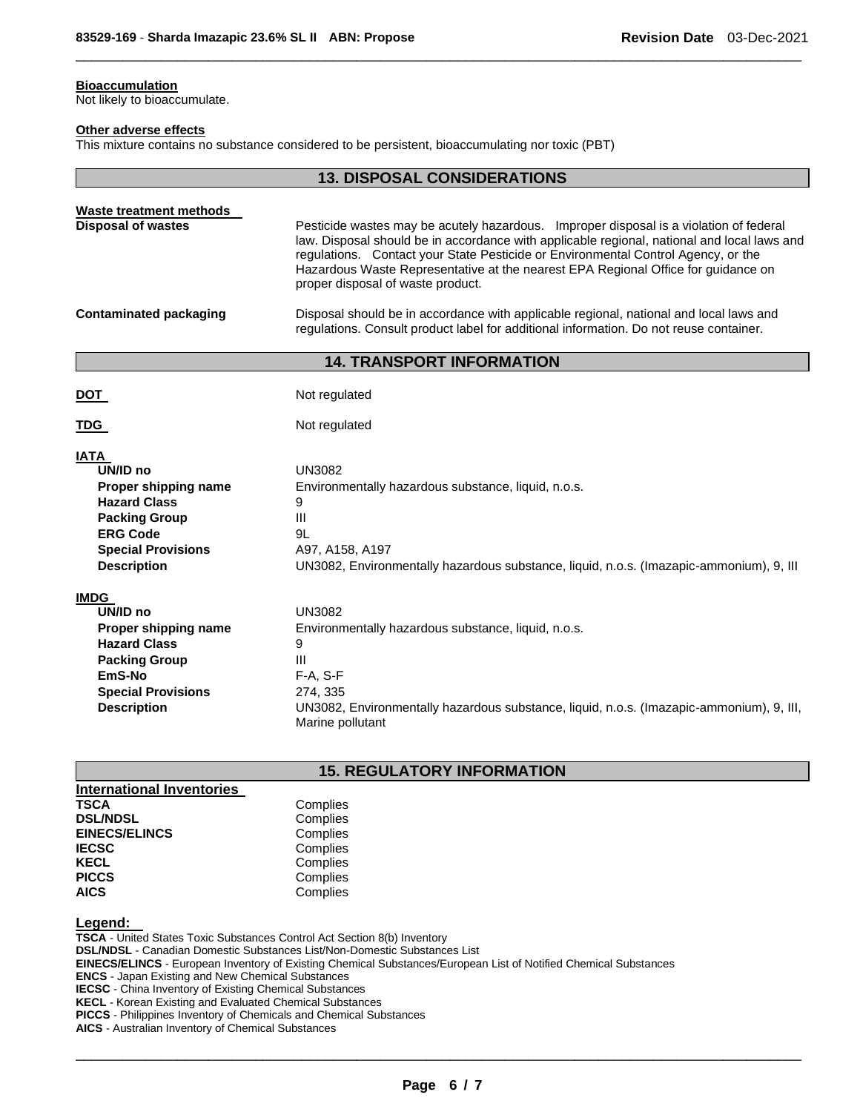## **Bioaccumulation**

Not likely to bioaccumulate.

#### **Other adverse effects**

This mixture contains no substance considered to be persistent, bioaccumulating nor toxic (PBT)

|                                                                                                                                                                      | <b>13. DISPOSAL CONSIDERATIONS</b>                                                                                                                                                                                                                                                                                                                                                                                                                                                                                                                                                       |
|----------------------------------------------------------------------------------------------------------------------------------------------------------------------|------------------------------------------------------------------------------------------------------------------------------------------------------------------------------------------------------------------------------------------------------------------------------------------------------------------------------------------------------------------------------------------------------------------------------------------------------------------------------------------------------------------------------------------------------------------------------------------|
| Waste treatment methods<br><b>Disposal of wastes</b><br><b>Contaminated packaging</b>                                                                                | Pesticide wastes may be acutely hazardous. Improper disposal is a violation of federal<br>law. Disposal should be in accordance with applicable regional, national and local laws and<br>regulations. Contact your State Pesticide or Environmental Control Agency, or the<br>Hazardous Waste Representative at the nearest EPA Regional Office for guidance on<br>proper disposal of waste product.<br>Disposal should be in accordance with applicable regional, national and local laws and<br>regulations. Consult product label for additional information. Do not reuse container. |
|                                                                                                                                                                      | <b>14. TRANSPORT INFORMATION</b>                                                                                                                                                                                                                                                                                                                                                                                                                                                                                                                                                         |
| <u>DOT_</u><br>TDG                                                                                                                                                   | Not regulated<br>Not regulated                                                                                                                                                                                                                                                                                                                                                                                                                                                                                                                                                           |
| <b>IATA</b><br>UN/ID no<br>Proper shipping name<br><b>Hazard Class</b><br><b>Packing Group</b><br><b>ERG Code</b><br><b>Special Provisions</b><br><b>Description</b> | <b>UN3082</b><br>Environmentally hazardous substance, liquid, n.o.s.<br>9<br>III<br>9L<br>A97, A158, A197<br>UN3082, Environmentally hazardous substance, liquid, n.o.s. (Imazapic-ammonium), 9, III                                                                                                                                                                                                                                                                                                                                                                                     |
| <b>IMDG</b><br>UN/ID no<br>Proper shipping name<br><b>Hazard Class</b><br><b>Packing Group</b><br>EmS-No<br><b>Special Provisions</b><br><b>Description</b>          | <b>UN3082</b><br>Environmentally hazardous substance, liquid, n.o.s.<br>9<br>Ш<br>F-A, S-F<br>274, 335<br>UN3082, Environmentally hazardous substance, liquid, n.o.s. (Imazapic-ammonium), 9, III,<br>Marine pollutant                                                                                                                                                                                                                                                                                                                                                                   |

\_\_\_\_\_\_\_\_\_\_\_\_\_\_\_\_\_\_\_\_\_\_\_\_\_\_\_\_\_\_\_\_\_\_\_\_\_\_\_\_\_\_\_\_\_\_\_\_\_\_\_\_\_\_\_\_\_\_\_\_\_\_\_\_\_\_\_\_\_\_\_\_\_\_\_\_\_\_\_\_\_\_\_\_\_\_\_\_\_\_\_\_\_

# **15. REGULATORY INFORMATION**

| <b>International Inventories</b> |          |
|----------------------------------|----------|
| <b>TSCA</b>                      | Complies |
| <b>DSL/NDSL</b>                  | Complies |
| <b>EINECS/ELINCS</b>             | Complies |
| <b>IECSC</b>                     | Complies |
| <b>KECL</b>                      | Complies |
| <b>PICCS</b>                     | Complies |
| <b>AICS</b>                      | Complies |
|                                  |          |

## **Legend:**

**TSCA** - United States Toxic Substances Control Act Section 8(b) Inventory **DSL/NDSL** - Canadian Domestic Substances List/Non-Domestic Substances List **EINECS/ELINCS** - European Inventory of Existing Chemical Substances/European List of Notified Chemical Substances **ENCS** - Japan Existing and New Chemical Substances **IECSC** - China Inventory of Existing Chemical Substances **KECL** - Korean Existing and Evaluated Chemical Substances **PICCS** - Philippines Inventory of Chemicals and Chemical Substances **AICS** - Australian Inventory of Chemical Substances